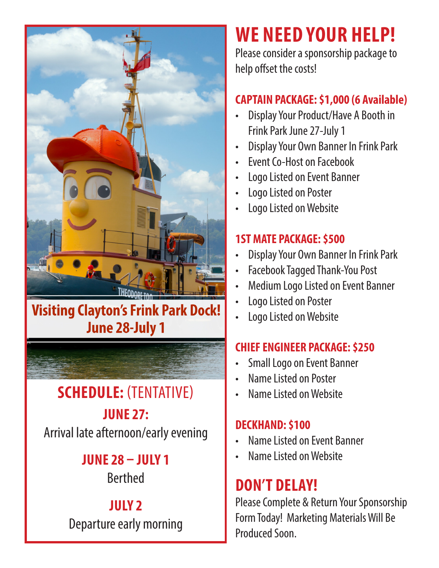

## **Visiting Clayton's Frink Park Dock! June 28-July 1**

**SCHEDULE:** (TENTATIVE)

**JUNE 27:** Arrival late afternoon/early evening

### **JUNE 28 – JULY 1**

Berthed

## **JULY 2**

Departure early morning

# **WE NEED YOUR HELP!**

Please consider a sponsorship package to help offset the costs!

#### **CAPTAIN PACKAGE: \$1,000 (6 Available)**

- Display Your Product/Have A Booth in Frink Park June 27-July 1
- Display Your Own Banner In Frink Park
- Event Co-Host on Facebook
- Logo Listed on Event Banner
- Logo Listed on Poster
- Logo Listed on Website

#### **1ST MATE PACKAGE: \$500**

- Display Your Own Banner In Frink Park
- Facebook Tagged Thank-You Post
- Medium Logo Listed on Event Banner
- Logo Listed on Poster
- Logo Listed on Website

#### **CHIEF ENGINEER PACKAGE: \$250**

- Small Logo on Event Banner
- Name Listed on Poster
- Name Listed on Website

#### **DECKHAND: \$100**

- Name Listed on Event Banner
- Name Listed on Website

## **DON'T DELAY!**

Please Complete & Return Your Sponsorship Form Today! Marketing Materials Will Be Produced Soon.